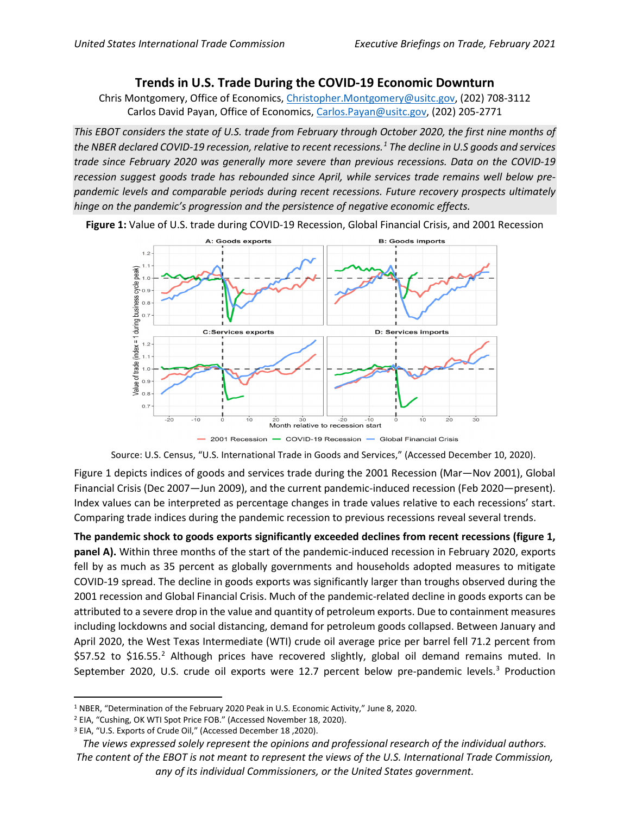## **Trends in U.S. Trade During the COVID-19 Economic Downturn**

Chris Montgomery, Office of Economics[, Christopher.Montgomery@usitc.gov,](mailto:Christopher.Montgomery@usitc.gov) (202) 708-3112 Carlos David Payan, Office of Economics[, Carlos.Payan@usitc.gov,](mailto:Carlos.Payan@usitc.gov) (202) 205-2771

*This EBOT considers the state of U.S. trade from February through October 2020, the first nine months of the NBER declared COVID-19 recession, relative to recent recessions. [1](#page-0-0) The decline in U.S goods and services trade since February 2020 was generally more severe than previous recessions. Data on the COVID-19 recession suggest goods trade has rebounded since April, while services trade remains well below prepandemic levels and comparable periods during recent recessions. Future recovery prospects ultimately hinge on the pandemic's progression and the persistence of negative economic effects.* 



**Figure 1:** Value of U.S. trade during COVID-19 Recession, Global Financial Crisis, and 2001 Recession

Source: U.S. Census, "U.S. International Trade in Goods and Services," (Accessed December 10, 2020).

Figure 1 depicts indices of goods and services trade during the 2001 Recession (Mar—Nov 2001), Global Financial Crisis (Dec 2007—Jun 2009), and the current pandemic-induced recession (Feb 2020—present). Index values can be interpreted as percentage changes in trade values relative to each recessions' start. Comparing trade indices during the pandemic recession to previous recessions reveal several trends.

**The pandemic shock to goods exports significantly exceeded declines from recent recessions (figure 1, panel A).** Within three months of the start of the pandemic-induced recession in February 2020, exports fell by as much as 35 percent as globally governments and households adopted measures to mitigate COVID-19 spread. The decline in goods exports was significantly larger than troughs observed during the 2001 recession and Global Financial Crisis. Much of the pandemic-related decline in goods exports can be attributed to a severe drop in the value and quantity of petroleum exports. Due to containment measures including lockdowns and social distancing, demand for petroleum goods collapsed. Between January and April 2020, the West Texas Intermediate (WTI) crude oil average price per barrel fell 71.2 percent from \$57.5[2](#page-0-1) to \$16.55.<sup>2</sup> Although prices have recovered slightly, global oil demand remains muted. In September 2020, U.S. crude oil exports were 12.7 percent below pre-pandemic levels.<sup>[3](#page-0-2)</sup> Production

<span id="page-0-0"></span><sup>1</sup> NBER, "Determination of the February 2020 Peak in U.S. Economic Activity," June 8, 2020.

<span id="page-0-1"></span><sup>2</sup> EIA, "Cushing, OK WTI Spot Price FOB." (Accessed November 18, 2020).

<span id="page-0-2"></span><sup>3</sup> EIA, "U.S. Exports of Crude Oil," (Accessed December 18 ,2020).

*The views expressed solely represent the opinions and professional research of the individual authors. The content of the EBOT is not meant to represent the views of the U.S. International Trade Commission, any of its individual Commissioners, or the United States government.*